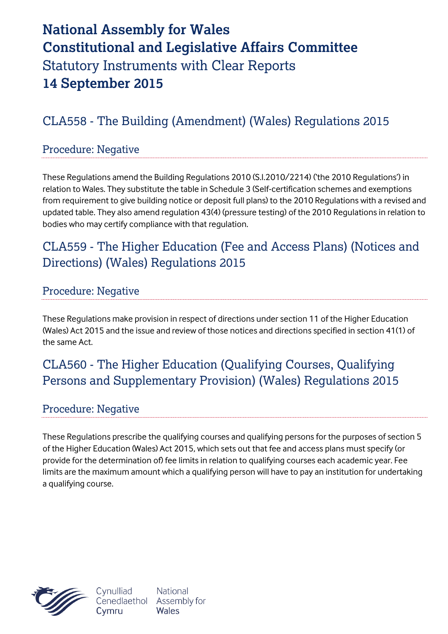# **National Assembly for Wales Constitutional and Legislative Affairs Committee** Statutory Instruments with Clear Reports **14 September 2015**

# CLA558 - The Building (Amendment) (Wales) Regulations 2015

#### Procedure: Negative

These Regulations amend the Building Regulations 2010 (S.I.2010/2214) ('the 2010 Regulations') in relation to Wales. They substitute the table in Schedule 3 (Self-certification schemes and exemptions from requirement to give building notice or deposit full plans) to the 2010 Regulations with a revised and updated table. They also amend regulation 43(4) (pressure testing) of the 2010 Regulations in relation to bodies who may certify compliance with that regulation.

### CLA559 - The Higher Education (Fee and Access Plans) (Notices and Directions) (Wales) Regulations 2015

#### Procedure: Negative

These Regulations make provision in respect of directions under section 11 of the Higher Education (Wales) Act 2015 and the issue and review of those notices and directions specified in section 41(1) of the same Act.

# CLA560 - The Higher Education (Qualifying Courses, Qualifying Persons and Supplementary Provision) (Wales) Regulations 2015

#### Procedure: Negative

These Regulations prescribe the qualifying courses and qualifying persons for the purposes of section 5 of the Higher Education (Wales) Act 2015, which sets out that fee and access plans must specify (or provide for the determination of) fee limits in relation to qualifying courses each academic year. Fee limits are the maximum amount which a qualifying person will have to pay an institution for undertaking a qualifying course.



Cynulliad Cenedlaethol Cymru

**National** Assembly for Wales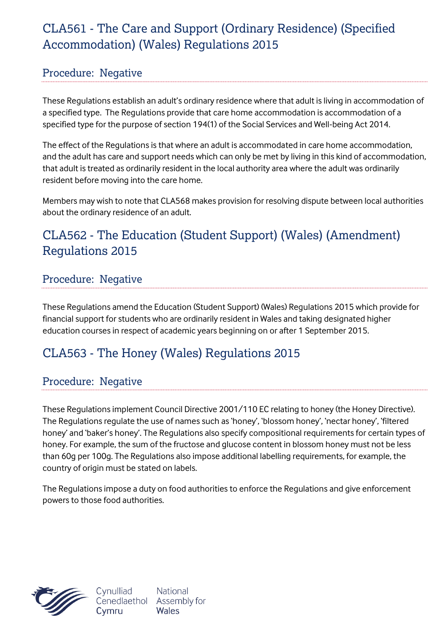# CLA561 - The Care and Support (Ordinary Residence) (Specified Accommodation) (Wales) Regulations 2015

#### Procedure: Negative

These Regulations establish an adult's ordinary residence where that adult is living in accommodation of a specified type. The Regulations provide that care home accommodation is accommodation of a specified type for the purpose of section 194(1) of the Social Services and Well-being Act 2014.

The effect of the Regulations is that where an adult is accommodated in care home accommodation, and the adult has care and support needs which can only be met by living in this kind of accommodation, that adult is treated as ordinarily resident in the local authority area where the adult was ordinarily resident before moving into the care home.

Members may wish to note that CLA568 makes provision for resolving dispute between local authorities about the ordinary residence of an adult.

# CLA562 - The Education (Student Support) (Wales) (Amendment) Regulations 2015

#### Procedure: Negative

These Regulations amend the Education (Student Support) (Wales) Regulations 2015 which provide for financial support for students who are ordinarily resident in Wales and taking designated higher education courses in respect of academic years beginning on or after 1 September 2015.

# CLA563 - The Honey (Wales) Regulations 2015

**National** 

Wales

#### Procedure: Negative

These Regulations implement Council Directive 2001/110 EC relating to honey (the Honey Directive). The Regulations regulate the use of names such as 'honey', 'blossom honey', 'nectar honey', 'filtered honey' and 'baker's honey'. The Regulations also specify compositional requirements for certain types of honey. For example, the sum of the fructose and glucose content in blossom honey must not be less than 60g per 100g. The Regulations also impose additional labelling requirements, for example, the country of origin must be stated on labels.

The Regulations impose a duty on food authorities to enforce the Regulations and give enforcement powers to those food authorities.

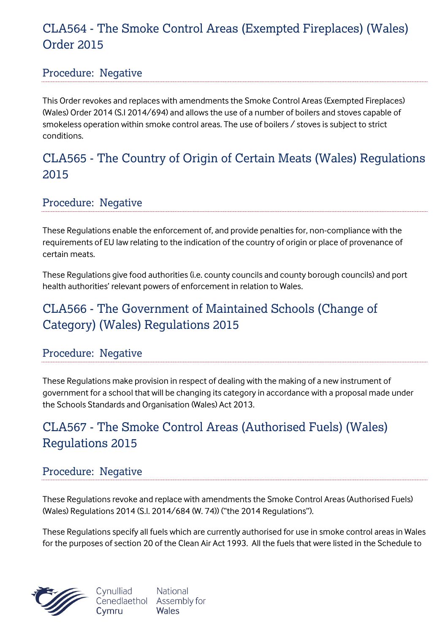### CLA564 - The Smoke Control Areas (Exempted Fireplaces) (Wales) Order 2015

#### Procedure: Negative

This Order revokes and replaces with amendments the Smoke Control Areas (Exempted Fireplaces) (Wales) Order 2014 (S.I 2014/694) and allows the use of a number of boilers and stoves capable of smokeless operation within smoke control areas. The use of boilers / stoves is subject to strict conditions.

### CLA565 - The Country of Origin of Certain Meats (Wales) Regulations 2015

Procedure: Negative

These Regulations enable the enforcement of, and provide penalties for, non-compliance with the requirements of EU law relating to the indication of the country of origin or place of provenance of certain meats.

These Regulations give food authorities (i.e. county councils and county borough councils) and port health authorities' relevant powers of enforcement in relation to Wales.

### CLA566 - The Government of Maintained Schools (Change of Category) (Wales) Regulations 2015

#### Procedure: Negative

These Regulations make provision in respect of dealing with the making of a new instrument of government for a school that will be changing its category in accordance with a proposal made under the Schools Standards and Organisation (Wales) Act 2013.

### CLA567 - The Smoke Control Areas (Authorised Fuels) (Wales) Regulations 2015

#### Procedure: Negative

These Regulations revoke and replace with amendments the Smoke Control Areas (Authorised Fuels) (Wales) Regulations 2014 (S.I. 2014/684 (W. 74)) ("the 2014 Regulations").

These Regulations specify all fuels which are currently authorised for use in smoke control areas in Wales for the purposes of section 20 of the Clean Air Act 1993. All the fuels that were listed in the Schedule to



Cynulliad **National** Cenedlaethol Assembly for Wales Cymru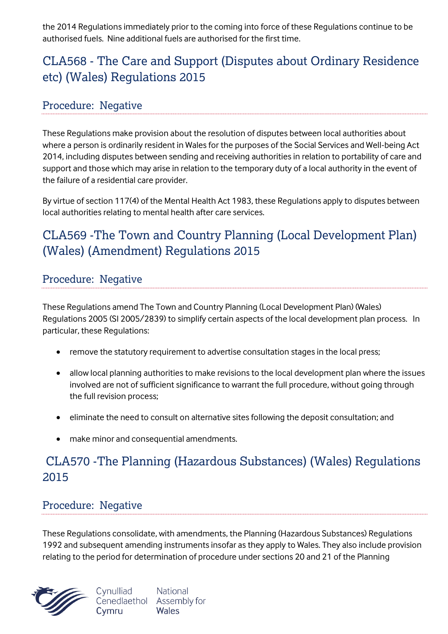the 2014 Regulations immediately prior to the coming into force of these Regulations continue to be authorised fuels. Nine additional fuels are authorised for the first time.

# CLA568 - The Care and Support (Disputes about Ordinary Residence etc) (Wales) Regulations 2015

#### Procedure: Negative

These Regulations make provision about the resolution of disputes between local authorities about where a person is ordinarily resident in Wales for the purposes of the Social Services and Well-being Act 2014, including disputes between sending and receiving authorities in relation to portability of care and support and those which may arise in relation to the temporary duty of a local authority in the event of the failure of a residential care provider.

By virtue of section 117(4) of the Mental Health Act 1983, these Regulations apply to disputes between local authorities relating to mental health after care services.

# CLA569 -The Town and Country Planning (Local Development Plan) (Wales) (Amendment) Regulations 2015

#### Procedure: Negative

These Regulations amend The Town and Country Planning (Local Development Plan) (Wales) Regulations 2005 (SI 2005/2839) to simplify certain aspects of the local development plan process. In particular, these Regulations:

- remove the statutory requirement to advertise consultation stages in the local press;
- allow local planning authorities to make revisions to the local development plan where the issues involved are not of sufficient significance to warrant the full procedure, without going through the full revision process;
- eliminate the need to consult on alternative sites following the deposit consultation; and
- make minor and consequential amendments.

### CLA570 -The Planning (Hazardous Substances) (Wales) Regulations 2015

#### Procedure: Negative

These Regulations consolidate, with amendments, the Planning (Hazardous Substances) Regulations 1992 and subsequent amending instruments insofar as they apply to Wales. They also include provision relating to the period for determination of procedure under sections 20 and 21 of the Planning

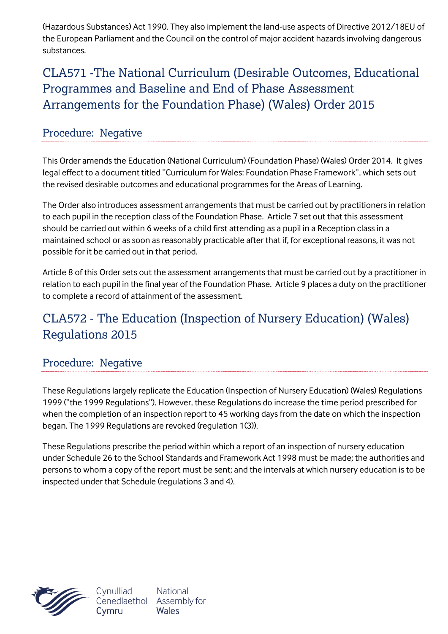(Hazardous Substances) Act 1990. They also implement the land-use aspects of Directive 2012/18EU of the European Parliament and the Council on the control of major accident hazards involving dangerous substances.

CLA571 -The National Curriculum (Desirable Outcomes, Educational Programmes and Baseline and End of Phase Assessment Arrangements for the Foundation Phase) (Wales) Order 2015

#### Procedure: Negative

This Order amends the Education (National Curriculum) (Foundation Phase) (Wales) Order 2014. It gives legal effect to a document titled "Curriculum for Wales: Foundation Phase Framework", which sets out the revised desirable outcomes and educational programmes for the Areas of Learning.

The Order also introduces assessment arrangements that must be carried out by practitioners in relation to each pupil in the reception class of the Foundation Phase. Article 7 set out that this assessment should be carried out within 6 weeks of a child first attending as a pupil in a Reception class in a maintained school or as soon as reasonably practicable after that if, for exceptional reasons, it was not possible for it be carried out in that period.

Article 8 of this Order sets out the assessment arrangements that must be carried out by a practitioner in relation to each pupil in the final year of the Foundation Phase. Article 9 places a duty on the practitioner to complete a record of attainment of the assessment.

### CLA572 - The Education (Inspection of Nursery Education) (Wales) Regulations 2015

#### Procedure: Negative

These Regulations largely replicate the Education (Inspection of Nursery Education) (Wales) Regulations 1999 ("the 1999 Regulations"). However, these Regulations do increase the time period prescribed for when the completion of an inspection report to 45 working days from the date on which the inspection began. The 1999 Regulations are revoked (regulation 1(3)).

These Regulations prescribe the period within which a report of an inspection of nursery education under Schedule 26 to the School Standards and Framework Act 1998 must be made; the authorities and persons to whom a copy of the report must be sent; and the intervals at which nursery education is to be inspected under that Schedule (regulations 3 and 4).



Cynulliad Cenedlaethol Assembly for Cymru

**National** 

Wales